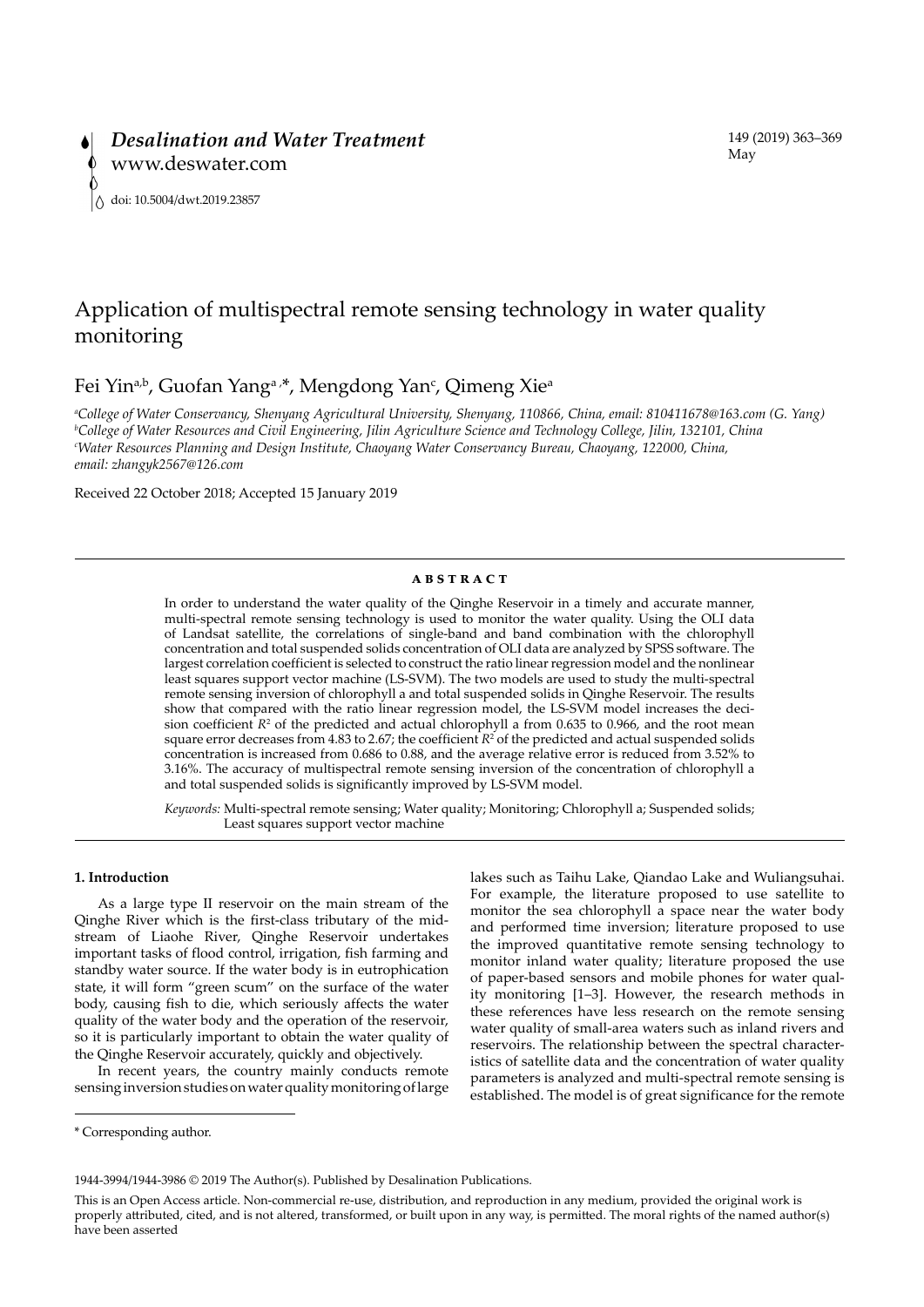# Application of multispectral remote sensing technology in water quality monitoring

Fei Yin<sup>a,b</sup>, Guofan Yang<sup>a,\*</sup>, Mengdong Yan<sup>c</sup>, Qimeng Xie<sup>a</sup>

*a College of Water Conservancy, Shenyang Agricultural University, Shenyang, 110866, China, email: 810411678@163.com (G. Yang) b College of Water Resources and Civil Engineering, Jilin Agriculture Science and Technology College, Jilin, 132101, China c Water Resources Planning and Design Institute, Chaoyang Water Conservancy Bureau, Chaoyang, 122000, China, email: zhangyk2567@126.com*

Received 22 October 2018; Accepted 15 January 2019

## **ABSTRACT**

In order to understand the water quality of the Qinghe Reservoir in a timely and accurate manner, multi-spectral remote sensing technology is used to monitor the water quality. Using the OLI data of Landsat satellite, the correlations of single-band and band combination with the chlorophyll concentration and total suspended solids concentration of OLI data are analyzed by SPSS software. The largest correlation coefficient is selected to construct the ratio linear regression model and the nonlinear least squares support vector machine (LS-SVM). The two models are used to study the multi-spectral remote sensing inversion of chlorophyll a and total suspended solids in Qinghe Reservoir. The results show that compared with the ratio linear regression model, the LS-SVM model increases the decision coefficient  $R<sup>2</sup>$  of the predicted and actual chlorophyll a from 0.635 to 0.966, and the root mean square error decreases from 4.83 to 2.67; the coefficient  $R^2$  of the predicted and actual suspended solids concentration is increased from 0.686 to 0.88, and the average relative error is reduced from 3.52% to 3.16%. The accuracy of multispectral remote sensing inversion of the concentration of chlorophyll a and total suspended solids is significantly improved by LS-SVM model.

*Keywords:* Multi-spectral remote sensing; Water quality; Monitoring; Chlorophyll a; Suspended solids; Least squares support vector machine

# **1. Introduction**

As a large type II reservoir on the main stream of the Qinghe River which is the first-class tributary of the midstream of Liaohe River, Qinghe Reservoir undertakes important tasks of flood control, irrigation, fish farming and standby water source. If the water body is in eutrophication state, it will form "green scum" on the surface of the water body, causing fish to die, which seriously affects the water quality of the water body and the operation of the reservoir, so it is particularly important to obtain the water quality of the Qinghe Reservoir accurately, quickly and objectively.

In recent years, the country mainly conducts remote sensing inversion studies on water quality monitoring of large lakes such as Taihu Lake, Qiandao Lake and Wuliangsuhai. For example, the literature proposed to use satellite to monitor the sea chlorophyll a space near the water body and performed time inversion; literature proposed to use the improved quantitative remote sensing technology to monitor inland water quality; literature proposed the use of paper-based sensors and mobile phones for water quality monitoring [1–3]. However, the research methods in these references have less research on the remote sensing water quality of small-area waters such as inland rivers and reservoirs. The relationship between the spectral characteristics of satellite data and the concentration of water quality parameters is analyzed and multi-spectral remote sensing is established. The model is of great significance for the remote

<sup>\*</sup> Corresponding author.

<sup>1944-3994/1944-3986 © 2019</sup> The Author(s). Published by Desalination Publications.

This is an Open Access article. Non-commercial re-use, distribution, and reproduction in any medium, provided the original work is properly attributed, cited, and is not altered, transformed, or built upon in any way, is permitted. The moral rights of the named author(s) have been asserted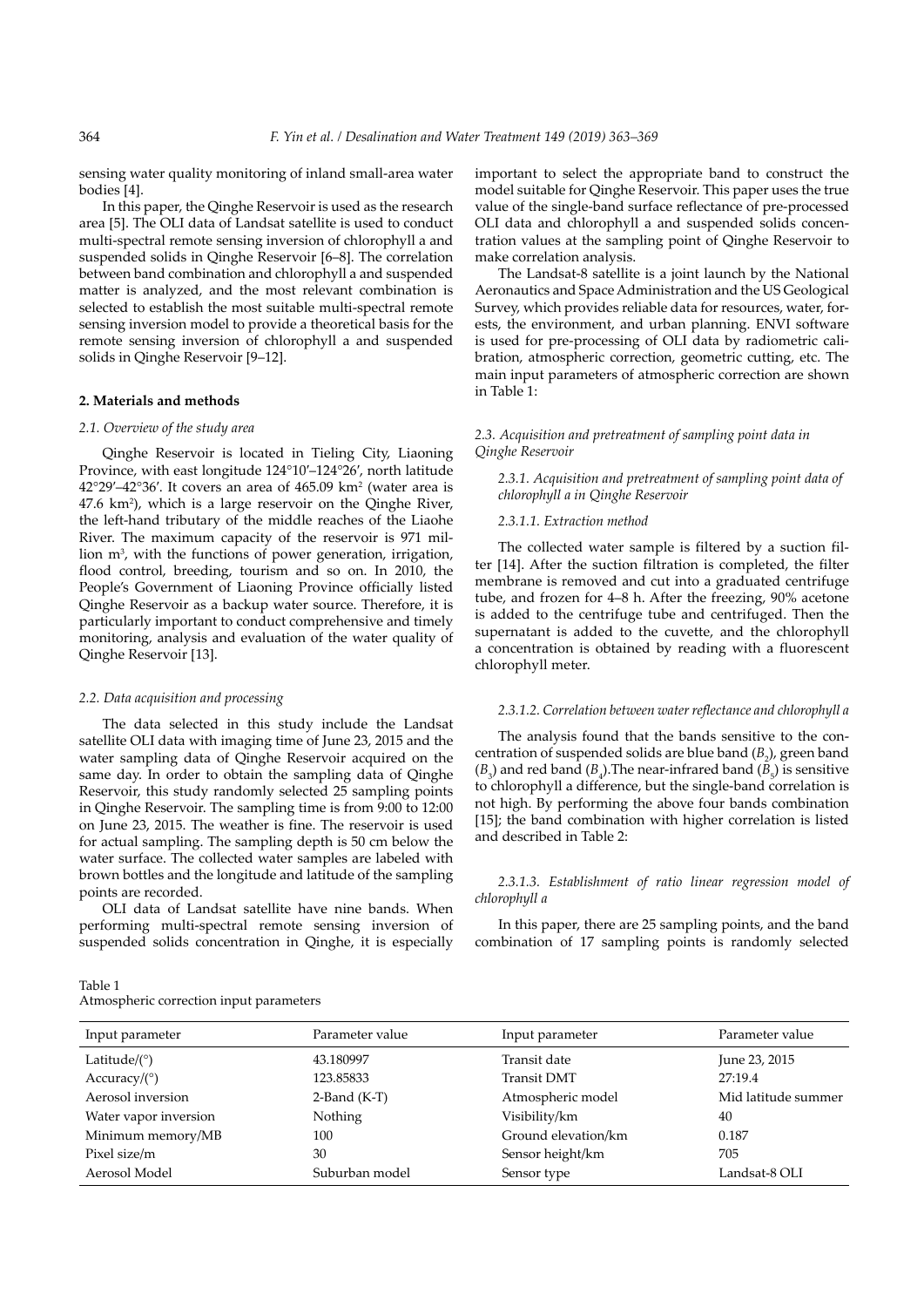sensing water quality monitoring of inland small-area water bodies [4].

In this paper, the Qinghe Reservoir is used as the research area [5]. The OLI data of Landsat satellite is used to conduct multi-spectral remote sensing inversion of chlorophyll a and suspended solids in Qinghe Reservoir [6–8]. The correlation between band combination and chlorophyll a and suspended matter is analyzed, and the most relevant combination is selected to establish the most suitable multi-spectral remote sensing inversion model to provide a theoretical basis for the remote sensing inversion of chlorophyll a and suspended solids in Qinghe Reservoir [9–12].

# **2. Materials and methods**

### *2.1. Overview of the study area*

Qinghe Reservoir is located in Tieling City, Liaoning Province, with east longitude 124°10′–124°26′, north latitude  $42^{\circ}29'$ – $42^{\circ}36'$ . It covers an area of  $465.09$  km<sup>2</sup> (water area is 47.6 km<sup>2</sup>), which is a large reservoir on the Qinghe River, the left-hand tributary of the middle reaches of the Liaohe River. The maximum capacity of the reservoir is 971 million m<sup>3</sup>, with the functions of power generation, irrigation, flood control, breeding, tourism and so on. In 2010, the People's Government of Liaoning Province officially listed Qinghe Reservoir as a backup water source. Therefore, it is particularly important to conduct comprehensive and timely monitoring, analysis and evaluation of the water quality of Qinghe Reservoir [13].

#### *2.2. Data acquisition and processing*

The data selected in this study include the Landsat satellite OLI data with imaging time of June 23, 2015 and the water sampling data of Qinghe Reservoir acquired on the same day. In order to obtain the sampling data of Qinghe Reservoir, this study randomly selected 25 sampling points in Qinghe Reservoir. The sampling time is from 9:00 to 12:00 on June 23, 2015. The weather is fine. The reservoir is used for actual sampling. The sampling depth is 50 cm below the water surface. The collected water samples are labeled with brown bottles and the longitude and latitude of the sampling points are recorded.

OLI data of Landsat satellite have nine bands. When performing multi-spectral remote sensing inversion of suspended solids concentration in Qinghe, it is especially

important to select the appropriate band to construct the model suitable for Qinghe Reservoir. This paper uses the true value of the single-band surface reflectance of pre-processed OLI data and chlorophyll a and suspended solids concentration values at the sampling point of Qinghe Reservoir to make correlation analysis.

The Landsat-8 satellite is a joint launch by the National Aeronautics and Space Administration and the US Geological Survey, which provides reliable data for resources, water, forests, the environment, and urban planning. ENVI software is used for pre-processing of OLI data by radiometric calibration, atmospheric correction, geometric cutting, etc. The main input parameters of atmospheric correction are shown in Table 1:

# *2.3. Acquisition and pretreatment of sampling point data in Qinghe Reservoir*

*2.3.1. Acquisition and pretreatment of sampling point data of chlorophyll a in Qinghe Reservoir*

#### *2.3.1.1. Extraction method*

The collected water sample is filtered by a suction filter [14]. After the suction filtration is completed, the filter membrane is removed and cut into a graduated centrifuge tube, and frozen for 4–8 h. After the freezing, 90% acetone is added to the centrifuge tube and centrifuged. Then the supernatant is added to the cuvette, and the chlorophyll a concentration is obtained by reading with a fluorescent chlorophyll meter.

# *2.3.1.2. Correlation between water reflectance and chlorophyll a*

The analysis found that the bands sensitive to the concentration of suspended solids are blue band  $(B_2)$ , green band  $(B_3)$  and red band  $(B_4)$ . The near-infrared band  $(B_5)$  is sensitive to chlorophyll a difference, but the single-band correlation is not high. By performing the above four bands combination [15]; the band combination with higher correlation is listed and described in Table 2:

*2.3.1.3. Establishment of ratio linear regression model of chlorophyll a*

In this paper, there are 25 sampling points, and the band combination of 17 sampling points is randomly selected

| Input parameter       | Parameter value | Input parameter     | Parameter value     |
|-----------------------|-----------------|---------------------|---------------------|
| Latitude/ $(^\circ)$  | 43.180997       | Transit date        | June 23, 2015       |
| Accuracy/ $(^\circ)$  | 123.85833       | <b>Transit DMT</b>  | 27:19.4             |
| Aerosol inversion     | $2$ -Band (K-T) | Atmospheric model   | Mid latitude summer |
| Water vapor inversion | Nothing         | Visibility/km       | 40                  |
| Minimum memory/MB     | 100             | Ground elevation/km | 0.187               |
| Pixel size/m          | 30              | Sensor height/km    | 705                 |
| Aerosol Model         | Suburban model  | Sensor type         | Landsat-8 OLI       |

#### Table 1 Atmospheric correction input parameters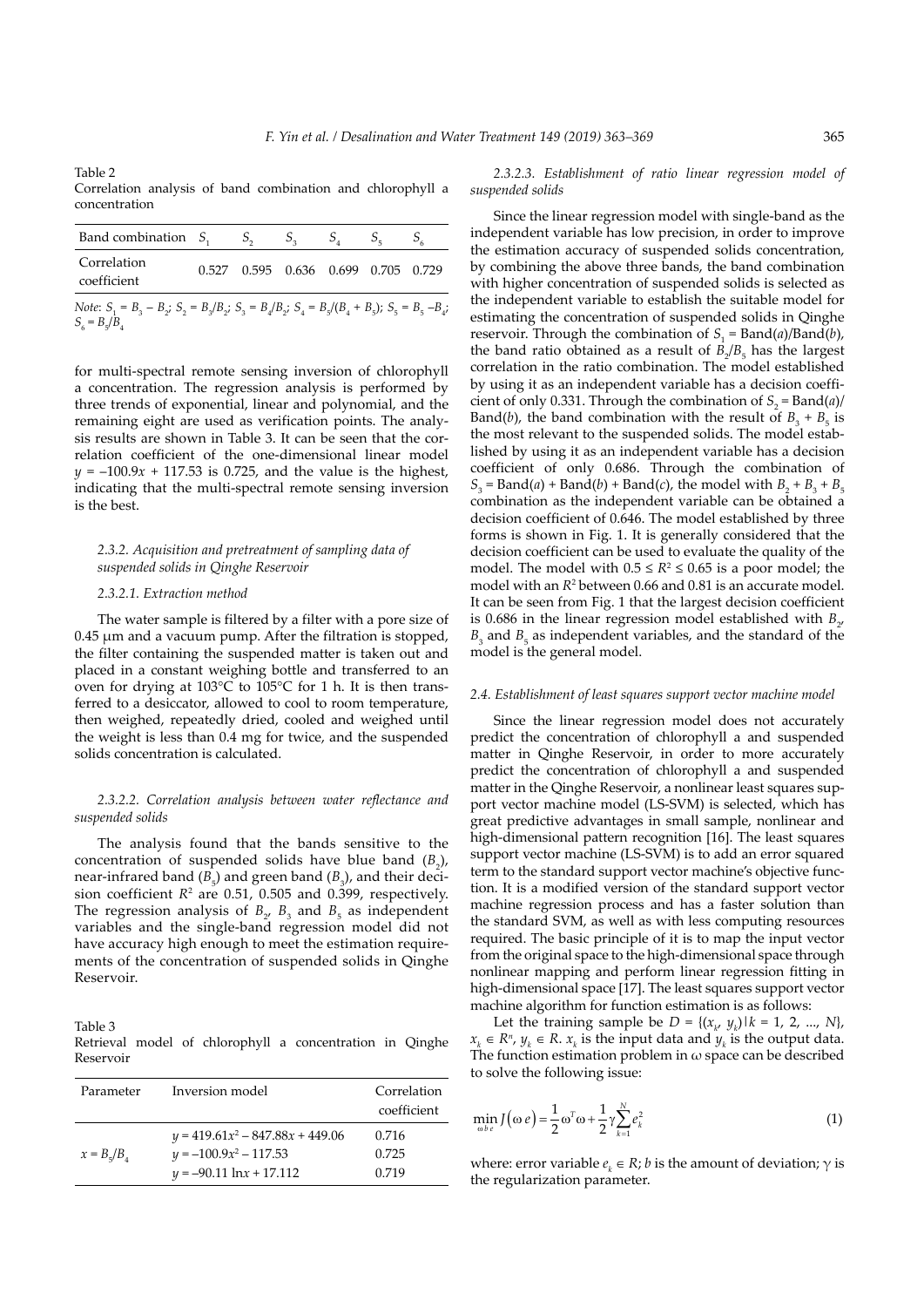Table 2

Correlation analysis of band combination and chlorophyll a concentration

| Band combination $S_1$ , $S_2$                                                                                                        |  | $S_{\alpha}$                        | $S_{\lambda}$ | $5-$ | $S_{\epsilon}$ |
|---------------------------------------------------------------------------------------------------------------------------------------|--|-------------------------------------|---------------|------|----------------|
| Correlation<br>coefficient                                                                                                            |  | 0.527 0.595 0.636 0.699 0.705 0.729 |               |      |                |
| <i>Note:</i> $S_1 = B_2 - B_2$ ; $S_2 = B_2/B_2$ ; $S_3 = B_4/B_2$ ; $S_4 = B_5/(B_4 + B_5)$ ; $S_5 = B_5 - B_4$ ;<br>$S_6 = B_5/B_4$ |  |                                     |               |      |                |

for multi-spectral remote sensing inversion of chlorophyll a concentration. The regression analysis is performed by three trends of exponential, linear and polynomial, and the remaining eight are used as verification points. The analysis results are shown in Table 3. It can be seen that the correlation coefficient of the one-dimensional linear model  $y = -100.9x + 117.53$  is 0.725, and the value is the highest, indicating that the multi-spectral remote sensing inversion is the best.

# *2.3.2. Acquisition and pretreatment of sampling data of suspended solids in Qinghe Reservoir*

#### *2.3.2.1. Extraction method*

The water sample is filtered by a filter with a pore size of 0.45 μm and a vacuum pump. After the filtration is stopped, the filter containing the suspended matter is taken out and placed in a constant weighing bottle and transferred to an oven for drying at 103°C to 105°C for 1 h. It is then transferred to a desiccator, allowed to cool to room temperature, then weighed, repeatedly dried, cooled and weighed until the weight is less than 0.4 mg for twice, and the suspended solids concentration is calculated.

## *2.3.2.2. Correlation analysis between water reflectance and suspended solids*

The analysis found that the bands sensitive to the concentration of suspended solids have blue band  $(B_2)$ , near-infrared band  $(B_5)$  and green band  $(B_3)$ , and their decision coefficient  $R<sup>2</sup>$  are 0.51, 0.505 and 0.399, respectively. The regression analysis of  $B_2$ ,  $B_3$  and  $B_5$  as independent variables and the single-band regression model did not have accuracy high enough to meet the estimation requirements of the concentration of suspended solids in Qinghe Reservoir.

Table 3 Retrieval model of chlorophyll a concentration in Qinghe Reservoir

| Parameter         | Inversion model                                                | Correlation<br>coefficient |
|-------------------|----------------------------------------------------------------|----------------------------|
| $x = B_{5}/B_{4}$ | $y = 419.61x^2 - 847.88x + 449.06$<br>$y = -100.9x^2 - 117.53$ | 0.716<br>0.725             |
|                   | $y = -90.11 \ln x + 17.112$                                    | 0.719                      |

*2.3.2.3. Establishment of ratio linear regression model of suspended solids*

Since the linear regression model with single-band as the independent variable has low precision, in order to improve the estimation accuracy of suspended solids concentration, by combining the above three bands, the band combination with higher concentration of suspended solids is selected as the independent variable to establish the suitable model for estimating the concentration of suspended solids in Qinghe reservoir. Through the combination of  $S_1 = \text{Band}(a)/\text{Band}(b)$ , the band ratio obtained as a result of  $B_2/B_5$  has the largest correlation in the ratio combination. The model established by using it as an independent variable has a decision coefficient of only 0.331. Through the combination of  $S_2 = \text{Band}(a)/2$ Band(*b*), the band combination with the result of  $B_3 + B_5$  is the most relevant to the suspended solids. The model established by using it as an independent variable has a decision coefficient of only 0.686. Through the combination of  $S_2 = \text{Band}(a) + \text{Band}(b) + \text{Band}(c)$ , the model with  $B_2 + B_3 + B_4$ combination as the independent variable can be obtained a decision coefficient of 0.646. The model established by three forms is shown in Fig. 1. It is generally considered that the decision coefficient can be used to evaluate the quality of the model. The model with  $0.5 \leq R^2 \leq 0.65$  is a poor model; the model with an  $R^2$  between 0.66 and 0.81 is an accurate model. It can be seen from Fig. 1 that the largest decision coefficient is 0.686 in the linear regression model established with  $B_{2'}$  $B_3$  and  $B_5$  as independent variables, and the standard of the model is the general model.

#### *2.4. Establishment of least squares support vector machine model*

Since the linear regression model does not accurately predict the concentration of chlorophyll a and suspended matter in Qinghe Reservoir, in order to more accurately predict the concentration of chlorophyll a and suspended matter in the Qinghe Reservoir, a nonlinear least squares support vector machine model (LS-SVM) is selected, which has great predictive advantages in small sample, nonlinear and high-dimensional pattern recognition [16]. The least squares support vector machine (LS-SVM) is to add an error squared term to the standard support vector machine's objective function. It is a modified version of the standard support vector machine regression process and has a faster solution than the standard SVM, as well as with less computing resources required. The basic principle of it is to map the input vector from the original space to the high-dimensional space through nonlinear mapping and perform linear regression fitting in high-dimensional space [17]. The least squares support vector machine algorithm for function estimation is as follows:

Let the training sample be *D* = { $(x_k, y_k)$  |  $k = 1, 2, ..., N$ }, *x*<sub>*k*</sub> ∈ *R*<sup>*n*</sup>, *y*<sub>*k*</sub> ∈ *R*. *x*<sub>*k*</sub> is the input data and *y*<sub>*k*</sub> is the output data. The function estimation problem in  $\omega$  space can be described to solve the following issue:

$$
\min_{\omega b e} J(\omega e) = \frac{1}{2} \omega^T \omega + \frac{1}{2} \gamma \sum_{k=1}^N e_k^2 \tag{1}
$$

where: error variable  $e_k \in R$ ; *b* is the amount of deviation;  $\gamma$  is the regularization parameter.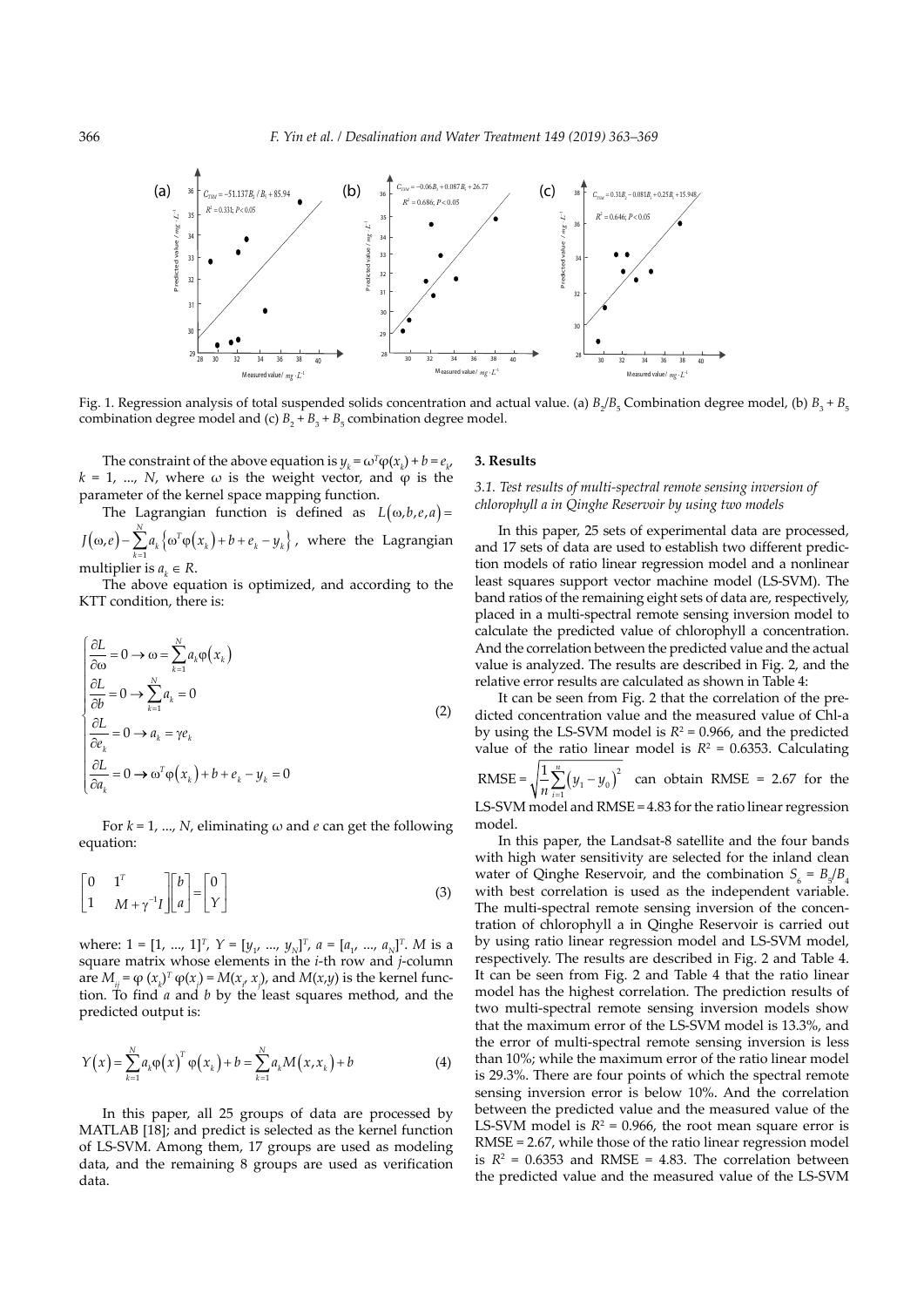

Fig. 1. Regression analysis of total suspended solids concentration and actual value. (a)  $B_2/B_5$  Combination degree model, (b)  $B_3 + B_5$ combination degree model and (c)  $B_2 + B_3 + B_5$  combination degree model.

The constraint of the above equation is  $y_k = \omega^T \varphi(x_k) + b = e_{k'}$  $k = 1, ..., N$ , where  $\omega$  is the weight vector, and  $\varphi$  is the parameter of the kernel space mapping function.

The Lagrangian function is defined as  $L(\omega, b, e, a) =$  $J(\omega, e) - \sum_{k=1}^{\infty} a_k \left\{ \omega^T \varphi(x_k) + b + e_k - y_k \right\}$  $J(\omega, e) - \sum_{k=1}^{N} a_k \left\{ \omega^T \varphi(x_k) + b + e_k - y_k \right\}$ , where the Lagrangian

> multiplier is  $a_k \in R$ . The above equation is optimized, and according to the KTT condition, there is:

$$
\begin{cases}\n\frac{\partial L}{\partial \omega} = 0 \to \omega = \sum_{k=1}^{N} a_k \varphi(x_k) \\
\frac{\partial L}{\partial b} = 0 \to \sum_{k=1}^{N} a_k = 0 \\
\frac{\partial L}{\partial e_k} = 0 \to a_k = \gamma e_k \\
\frac{\partial L}{\partial a_k} = 0 \to \omega^T \varphi(x_k) + b + e_k - y_k = 0\n\end{cases}
$$
\n(2)

For  $k = 1, ..., N$ , eliminating  $\omega$  and  $e$  can get the following equation:

$$
\begin{bmatrix} 0 & 1^T \\ 1 & M + \gamma^{-1}I \end{bmatrix} \begin{bmatrix} b \\ a \end{bmatrix} = \begin{bmatrix} 0 \\ Y \end{bmatrix}
$$
 (3)

where:  $1 = [1, ..., 1]^T$ ,  $Y = [y_1, ..., y_N]^T$ ,  $a = [a_1, ..., a_N]^T$ . *M* is a square matrix whose elements in the *i*-th row and *j*-column are  $M_{ij} = \varphi(x_k)^T \varphi(x_j) = M(x_i, x_j)$ , and  $M(x,y)$  is the kernel function. To find *a* and *b* by the least squares method, and the predicted output is:

$$
Y(x) = \sum_{k=1}^{N} a_k \varphi(x)^T \varphi(x_k) + b = \sum_{k=1}^{N} a_k M(x, x_k) + b
$$
 (4)

In this paper, all 25 groups of data are processed by MATLAB [18]; and predict is selected as the kernel function of LS-SVM. Among them, 17 groups are used as modeling data, and the remaining 8 groups are used as verification data.

### **3. Results**

 $(\omega, b, e, a) =$  *chlorophyll a in Qinghe Reservoir by using two models*<br>In this paper 25 sets of experimental data are *3.1. Test results of multi-spectral remote sensing inversion of* 

In this paper, 25 sets of experimental data are processed, and 17 sets of data are used to establish two different prediction models of ratio linear regression model and a nonlinear least squares support vector machine model (LS-SVM). The band ratios of the remaining eight sets of data are, respectively, placed in a multi-spectral remote sensing inversion model to calculate the predicted value of chlorophyll a concentration. And the correlation between the predicted value and the actual value is analyzed. The results are described in Fig. 2, and the relative error results are calculated as shown in Table 4:

It can be seen from Fig. 2 that the correlation of the predicted concentration value and the measured value of Chl-a by using the LS-SVM model is  $R^2 = 0.966$ , and the predicted value of the ratio linear model is  $R^2 = 0.6353$ . Calculating RMSE =  $\sqrt{\frac{1}{n} \sum_{1}^{n} (y_1 - y_0)^2}$  $\frac{1}{n} \sum_{i=1}^{n} (y_i - y_i)$  $\sum_{i=1}^{n} (y_i - y_0)^2$  can obtain RMSE = 2.67 for the

LS-SVM model and RMSE = 4.83 for the ratio linear regression model.

In this paper, the Landsat-8 satellite and the four bands with high water sensitivity are selected for the inland clean water of Qinghe Reservoir, and the combination  $S_6 = B_5/B_4$ with best correlation is used as the independent variable. The multi-spectral remote sensing inversion of the concentration of chlorophyll a in Qinghe Reservoir is carried out by using ratio linear regression model and LS-SVM model, respectively. The results are described in Fig. 2 and Table 4. It can be seen from Fig. 2 and Table 4 that the ratio linear model has the highest correlation. The prediction results of two multi-spectral remote sensing inversion models show that the maximum error of the LS-SVM model is 13.3%, and the error of multi-spectral remote sensing inversion is less than 10%; while the maximum error of the ratio linear model is 29.3%. There are four points of which the spectral remote sensing inversion error is below 10%. And the correlation between the predicted value and the measured value of the LS-SVM model is  $R^2 = 0.966$ , the root mean square error is RMSE = 2.67, while those of the ratio linear regression model is  $R^2$  = 0.6353 and RMSE = 4.83. The correlation between the predicted value and the measured value of the LS-SVM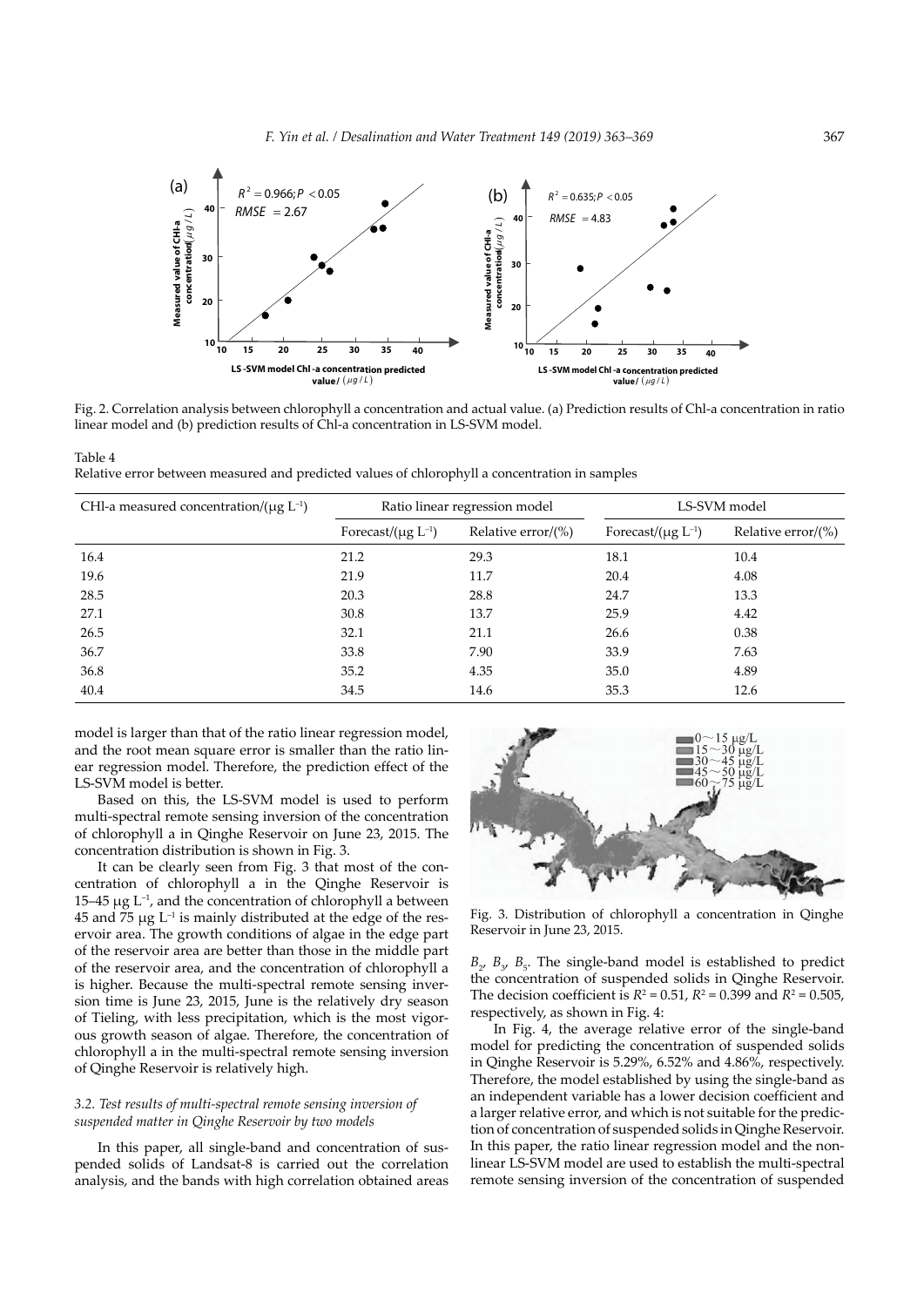

Fig. 2. Correlation analysis between chlorophyll a concentration and actual value. (a) Prediction results of Chl-a concentration in ratio linear model and (b) prediction results of Chl-a concentration in LS-SVM model.

Table 4 Relative error between measured and predicted values of chlorophyll a concentration in samples

| CHI-a measured concentration/( $\mu$ g L <sup>-1</sup> ) | Ratio linear regression model |                        | LS-SVM model               |                        |
|----------------------------------------------------------|-------------------------------|------------------------|----------------------------|------------------------|
|                                                          | Forecast/ $(\mu g L^{-1})$    | Relative error/ $(\%)$ | Forecast/ $(\mu g L^{-1})$ | Relative error/ $(\%)$ |
| 16.4                                                     | 21.2                          | 29.3                   | 18.1                       | 10.4                   |
| 19.6                                                     | 21.9                          | 11.7                   | 20.4                       | 4.08                   |
| 28.5                                                     | 20.3                          | 28.8                   | 24.7                       | 13.3                   |
| 27.1                                                     | 30.8                          | 13.7                   | 25.9                       | 4.42                   |
| 26.5                                                     | 32.1                          | 21.1                   | 26.6                       | 0.38                   |
| 36.7                                                     | 33.8                          | 7.90                   | 33.9                       | 7.63                   |
| 36.8                                                     | 35.2                          | 4.35                   | 35.0                       | 4.89                   |
| 40.4                                                     | 34.5                          | 14.6                   | 35.3                       | 12.6                   |

model is larger than that of the ratio linear regression model, and the root mean square error is smaller than the ratio linear regression model. Therefore, the prediction effect of the LS-SVM model is better.

Based on this, the LS-SVM model is used to perform multi-spectral remote sensing inversion of the concentration of chlorophyll a in Qinghe Reservoir on June 23, 2015. The concentration distribution is shown in Fig. 3.

It can be clearly seen from Fig. 3 that most of the concentration of chlorophyll a in the Qinghe Reservoir is 15–45 μg  $L^{-1}$ , and the concentration of chlorophyll a between  $45$  and  $75 \mu g$  L<sup>-1</sup> is mainly distributed at the edge of the reservoir area. The growth conditions of algae in the edge part of the reservoir area are better than those in the middle part of the reservoir area, and the concentration of chlorophyll a is higher. Because the multi-spectral remote sensing inversion time is June 23, 2015, June is the relatively dry season of Tieling, with less precipitation, which is the most vigorous growth season of algae. Therefore, the concentration of chlorophyll a in the multi-spectral remote sensing inversion of Qinghe Reservoir is relatively high.

# *3.2. Test results of multi-spectral remote sensing inversion of suspended matter in Qinghe Reservoir by two models*

In this paper, all single-band and concentration of suspended solids of Landsat-8 is carried out the correlation analysis, and the bands with high correlation obtained areas



Fig. 3. Distribution of chlorophyll a concentration in Qinghe Reservoir in June 23, 2015.

 $B$ <sub>2</sub>,  $B$ <sub>3</sub>,  $B$ <sub>5</sub>. The single-band model is established to predict the concentration of suspended solids in Qinghe Reservoir. The decision coefficient is  $R^2 = 0.51$ ,  $R^2 = 0.399$  and  $R^2 = 0.505$ , respectively, as shown in Fig. 4:

In Fig. 4, the average relative error of the single-band model for predicting the concentration of suspended solids in Qinghe Reservoir is 5.29%, 6.52% and 4.86%, respectively. Therefore, the model established by using the single-band as an independent variable has a lower decision coefficient and a larger relative error, and which is not suitable for the prediction of concentration of suspended solids in Qinghe Reservoir. In this paper, the ratio linear regression model and the nonlinear LS-SVM model are used to establish the multi-spectral remote sensing inversion of the concentration of suspended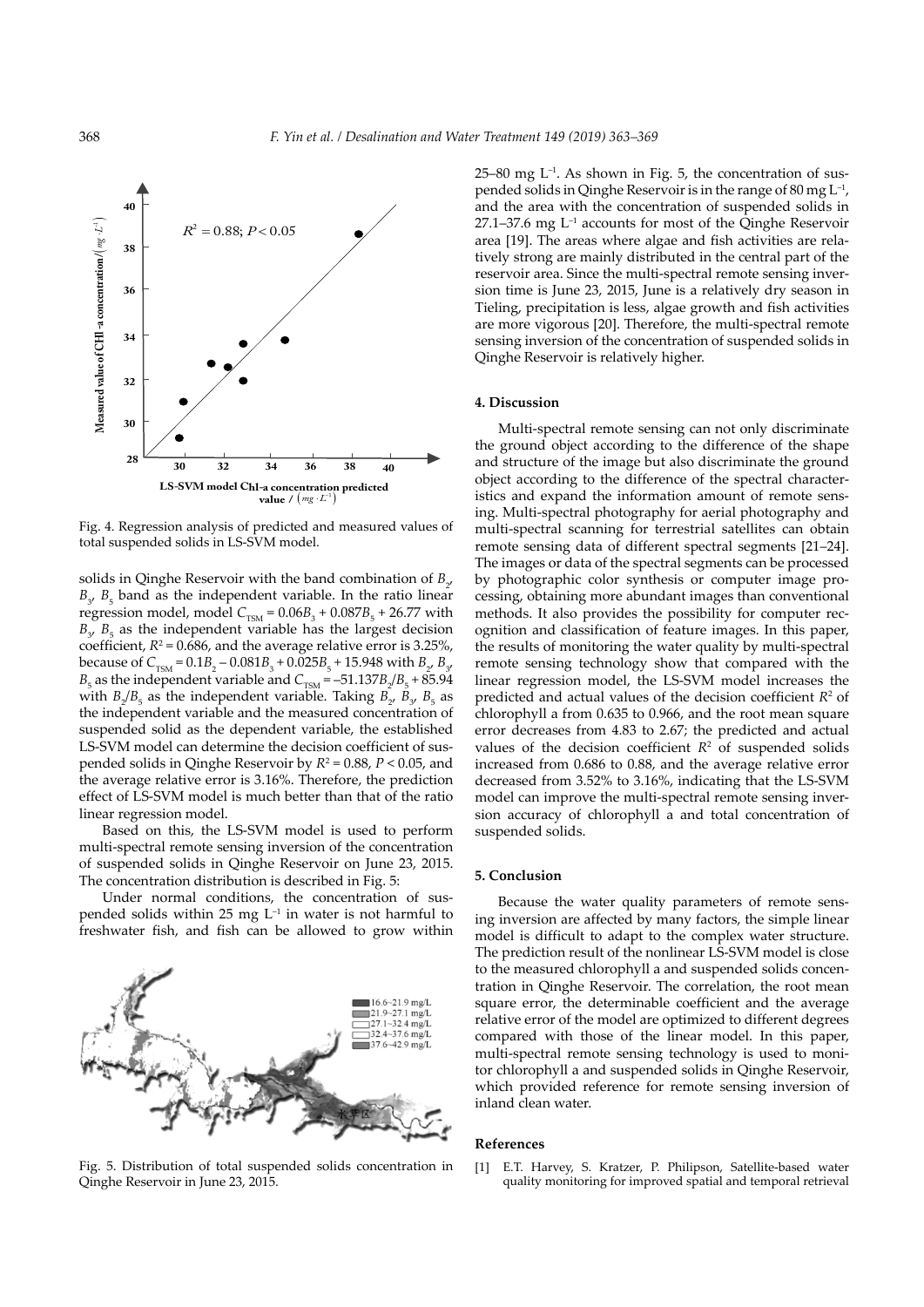

Fig. 4. Regression analysis of predicted and measured values of total suspended solids in LS-SVM model.

solids in Qinghe Reservoir with the band combination of  $B_{2}$ ,  $B_{3}$ ,  $B_{5}$  band as the independent variable. In the ratio linear regression model, model  $C_{TSM} = 0.06B_3 + 0.087B_5 + 26.77$  with  $B_{3}$ ,  $B_{5}$  as the independent variable has the largest decision coefficient,  $R^2$  = 0.686, and the average relative error is 3.25%, because of  $C_{TSM} = 0.1B_2 - 0.081B_3 + 0.025B_5 + 15.948$  with  $B_{2}$ ,  $B_{3}$ ,  $B<sub>5</sub>$  as the independent variable and  $C<sub>TSM</sub> = -51.137B<sub>2</sub>/B<sub>5</sub> + 85.94$ with  $B_2/B_5$  as the independent variable. Taking  $B_2$ ,  $B_3$ ,  $B_5$  as the independent variable and the measured concentration of suspended solid as the dependent variable, the established LS-SVM model can determine the decision coefficient of suspended solids in Qinghe Reservoir by *R*<sup>2</sup> = 0.88, *P* < 0.05, and the average relative error is 3.16%. Therefore, the prediction effect of LS-SVM model is much better than that of the ratio linear regression model.

Based on this, the LS-SVM model is used to perform multi-spectral remote sensing inversion of the concentration of suspended solids in Qinghe Reservoir on June 23, 2015. The concentration distribution is described in Fig. 5:

Under normal conditions, the concentration of suspended solids within 25 mg  $L^{-1}$  in water is not harmful to freshwater fish, and fish can be allowed to grow within



Fig. 5. Distribution of total suspended solids concentration in Qinghe Reservoir in June 23, 2015.

 $25-80$  mg L<sup>-1</sup>. As shown in Fig. 5, the concentration of suspended solids in Qinghe Reservoir is in the range of 80 mg  $L^{-1}$ , and the area with the concentration of suspended solids in 27.1–37.6 mg L–1 accounts for most of the Qinghe Reservoir area [19]. The areas where algae and fish activities are relatively strong are mainly distributed in the central part of the reservoir area. Since the multi-spectral remote sensing inversion time is June 23, 2015, June is a relatively dry season in Tieling, precipitation is less, algae growth and fish activities are more vigorous [20]. Therefore, the multi-spectral remote sensing inversion of the concentration of suspended solids in Qinghe Reservoir is relatively higher.

# **4. Discussion**

Multi-spectral remote sensing can not only discriminate the ground object according to the difference of the shape and structure of the image but also discriminate the ground object according to the difference of the spectral characteristics and expand the information amount of remote sensing. Multi-spectral photography for aerial photography and multi-spectral scanning for terrestrial satellites can obtain remote sensing data of different spectral segments [21–24]. The images or data of the spectral segments can be processed by photographic color synthesis or computer image processing, obtaining more abundant images than conventional methods. It also provides the possibility for computer recognition and classification of feature images. In this paper, the results of monitoring the water quality by multi-spectral remote sensing technology show that compared with the linear regression model, the LS-SVM model increases the predicted and actual values of the decision coefficient  $R<sup>2</sup>$  of chlorophyll a from 0.635 to 0.966, and the root mean square error decreases from 4.83 to 2.67; the predicted and actual values of the decision coefficient  $R<sup>2</sup>$  of suspended solids increased from 0.686 to 0.88, and the average relative error decreased from 3.52% to 3.16%, indicating that the LS-SVM model can improve the multi-spectral remote sensing inversion accuracy of chlorophyll a and total concentration of suspended solids.

## **5. Conclusion**

Because the water quality parameters of remote sensing inversion are affected by many factors, the simple linear model is difficult to adapt to the complex water structure. The prediction result of the nonlinear LS-SVM model is close to the measured chlorophyll a and suspended solids concentration in Qinghe Reservoir. The correlation, the root mean square error, the determinable coefficient and the average relative error of the model are optimized to different degrees compared with those of the linear model. In this paper, multi-spectral remote sensing technology is used to monitor chlorophyll a and suspended solids in Qinghe Reservoir, which provided reference for remote sensing inversion of inland clean water.

### **References**

[1] E.T. Harvey, S. Kratzer, P. Philipson, Satellite-based water quality monitoring for improved spatial and temporal retrieval